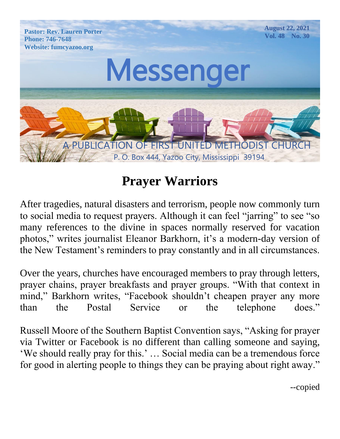

# **Prayer Warriors**

After tragedies, natural disasters and terrorism, people now commonly turn to social media to request prayers. Although it can feel "jarring" to see "so many references to the divine in spaces normally reserved for vacation photos," writes journalist Eleanor Barkhorn, it's a modern-day version of the New Testament's reminders to pray constantly and in all circumstances.

Over the years, churches have encouraged members to pray through letters, prayer chains, prayer breakfasts and prayer groups. "With that context in mind," Barkhorn writes, "Facebook shouldn't cheapen prayer any more than the Postal Service or the telephone does."

Russell Moore of the Southern Baptist Convention says, "Asking for prayer via Twitter or Facebook is no different than calling someone and saying, 'We should really pray for this.' … Social media can be a tremendous force for good in alerting people to things they can be praying about right away."

--copied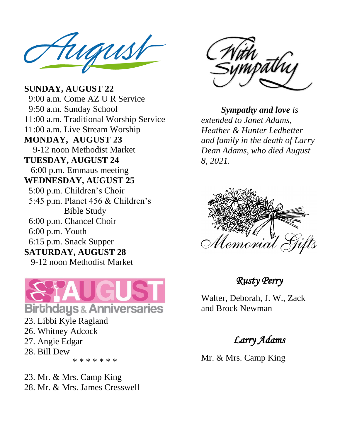Pastor: Rev. Lauren Porter  $\blacksquare$ Website: fumcyazoo.org

**MONDAY, AUGUST 23** 9-12 noon Methodist Market  $\frac{1}{2}$  HOOH M **SUNDAY, AUGUST 22** 9:00 a.m. Come AZ U R Service 9:50 a.m. Sunday School 11:00 a.m. Traditional Worship Service 11:00 a.m. Live Stream Worship **TUESDAY, AUGUST 24** 6:00 p.m. Emmaus meeting **WEDNESDAY, AUGUST 25** 5:00 p.m. Children's Choir 5:45 p.m. Planet 456 & Children's Bible Study 6:00 p.m. Chancel Choir 6:00 p.m. Youth 6:15 p.m. Snack Supper **SATURDAY, AUGUST 28** 9-12 noon Methodist Market



23. Libbi Kyle Ragland 26. Whitney Adcock 27. Angie Edgar 28. Bill Dew \* \* \* \* \* \* \*

23. Mr. & Mrs. Camp King 28. Mr. & Mrs. James Cresswell



*Sympathy and love is extended to Janet Adams, Heather & Hunter Ledbetter and family in the death of Larry Dean Adams, who died August 8, 2021.*



#### *Rusty Perry*

Walter, Deborah, J. W., Zack and Brock Newman

#### *Larry Adams*

Mr. & Mrs. Camp King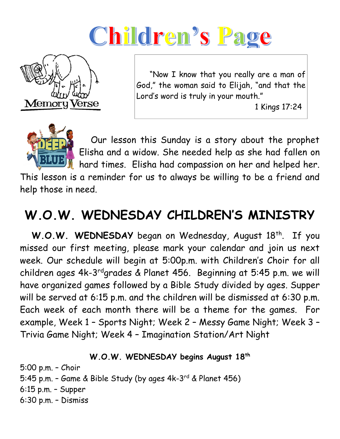# Children's Page



 "Now I know that you really are a man of God," the woman said to Elijah, "and that the Lord's word is truly in your mouth."

1 Kings 17:24



 Our lesson this Sunday is a story about the prophet Elisha and a widow. She needed help as she had fallen on hard times. Elisha had compassion on her and helped her.

This lesson is a reminder for us to always be willing to be a friend and help those in need.

# **W.O.W. WEDNESDAY CHILDREN'S MINISTRY**

W.O.W. WEDNESDAY began on Wednesday, August 18<sup>th</sup>. If you missed our first meeting, please mark your calendar and join us next week. Our schedule will begin at 5:00p.m. with Children's Choir for all children ages 4k-3<sup>rd</sup>grades & Planet 456. Beginning at 5:45 p.m. we will have organized games followed by a Bible Study divided by ages. Supper will be served at 6:15 p.m. and the children will be dismissed at 6:30 p.m. Each week of each month there will be a theme for the games. For example, Week 1 – Sports Night; Week 2 – Messy Game Night; Week 3 – Trivia Game Night; Week 4 – Imagination Station/Art Night

**W.O.W. WEDNESDAY begins August 18th**

5:00 p.m. – Choir 5:45 p.m. – Game & Bible Study (by ages 4k-3<sup>rd</sup> & Planet 456) 6:15 p.m. – Supper 6:30 p.m. – Dismiss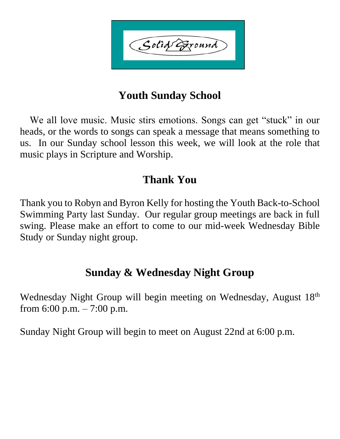Solid Exound

# **Youth Sunday School**

 We all love music. Music stirs emotions. Songs can get "stuck" in our heads, or the words to songs can speak a message that means something to us. In our Sunday school lesson this week, we will look at the role that music plays in Scripture and Worship.

### **Thank You**

Thank you to Robyn and Byron Kelly for hosting the Youth Back-to-School Swimming Party last Sunday. Our regular group meetings are back in full swing. Please make an effort to come to our mid-week Wednesday Bible Study or Sunday night group.

## **Sunday & Wednesday Night Group**

Wednesday Night Group will begin meeting on Wednesday, August 18<sup>th</sup> from 6:00 p.m.  $-7:00$  p.m.

Sunday Night Group will begin to meet on August 22nd at 6:00 p.m.